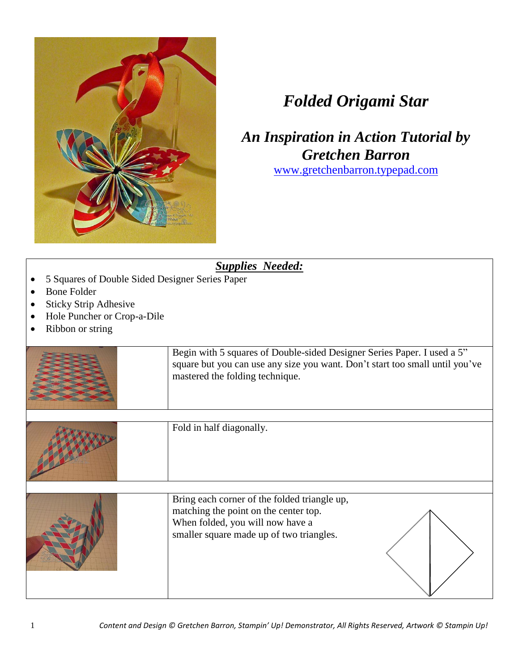

## *Folded Origami Star*

*An Inspiration in Action Tutorial by Gretchen Barron*

[www.gretchenbarron.typepad.com](http://www.gretchenbarron.typepad.com/)

| 5 Squares of Double Sided Designer Series Paper<br><b>Bone Folder</b><br><b>Sticky Strip Adhesive</b><br>Hole Puncher or Crop-a-Dile<br>Ribbon or string | <b>Supplies Needed:</b>                                                                                                                                                                    |
|----------------------------------------------------------------------------------------------------------------------------------------------------------|--------------------------------------------------------------------------------------------------------------------------------------------------------------------------------------------|
|                                                                                                                                                          | Begin with 5 squares of Double-sided Designer Series Paper. I used a 5"<br>square but you can use any size you want. Don't start too small until you've<br>mastered the folding technique. |
|                                                                                                                                                          | Fold in half diagonally.                                                                                                                                                                   |
|                                                                                                                                                          | Bring each corner of the folded triangle up,<br>matching the point on the center top.<br>When folded, you will now have a<br>smaller square made up of two triangles.                      |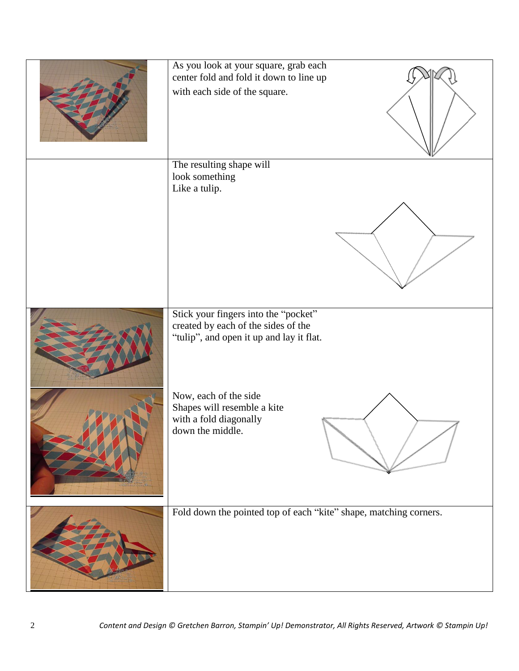| As you look at your square, grab each<br>center fold and fold it down to line up<br>with each side of the square.       |
|-------------------------------------------------------------------------------------------------------------------------|
| The resulting shape will<br>look something<br>Like a tulip.                                                             |
| Stick your fingers into the "pocket"<br>created by each of the sides of the<br>"tulip", and open it up and lay it flat. |
| Now, each of the side<br>Shapes will resemble a kite<br>with a fold diagonally<br>down the middle.                      |
| Fold down the pointed top of each "kite" shape, matching corners.                                                       |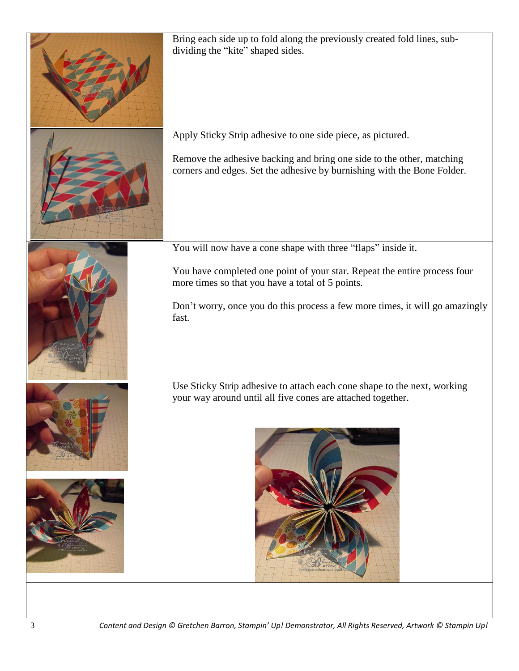| Bring each side up to fold along the previously created fold lines, sub-<br>dividing the "kite" shaped sides.                                                                                                                                                                          |
|----------------------------------------------------------------------------------------------------------------------------------------------------------------------------------------------------------------------------------------------------------------------------------------|
| Apply Sticky Strip adhesive to one side piece, as pictured.<br>Remove the adhesive backing and bring one side to the other, matching<br>corners and edges. Set the adhesive by burnishing with the Bone Folder.                                                                        |
| You will now have a cone shape with three "flaps" inside it.<br>You have completed one point of your star. Repeat the entire process four<br>more times so that you have a total of 5 points.<br>Don't worry, once you do this process a few more times, it will go amazingly<br>fast. |
| Use Sticky Strip adhesive to attach each cone shape to the next, working<br>your way around until all five cones are attached together.<br>$a$ <i>unsi</i><br>gretchenbarron.typep                                                                                                     |